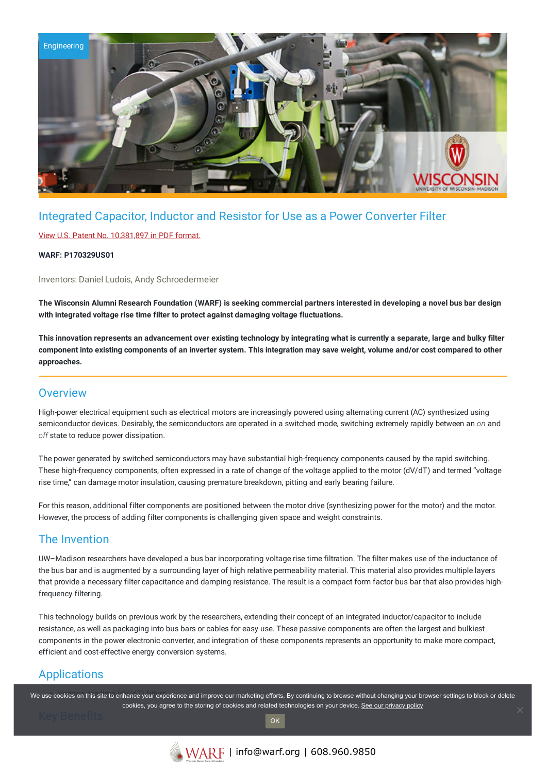

## Integrated Capacitor, Inductor and Resistor for Use as a Power Converter Filter

### View U.S. Patent No. [10,381,897](https://www.warf.org/wp-content/uploads/technologies/ipstatus/P170329US01.pdf) in PDF format.

### **WARF: P170329US01**

Inventors: Daniel Ludois, Andy Schroedermeier

The Wisconsin Alumni Research Foundation (WARF) is seeking commercial partners interested in developing a novel bus bar design **with integrated voltage rise time filter to protect against damaging voltage fluctuations.**

This innovation represents an advancement over existing technology by integrating what is currently a separate, large and bulky filter component into existing components of an inverter system. This integration may save weight, volume and/or cost compared to other **approaches.**

### **Overview**

High-power electrical equipment such as electrical motors are increasingly powered using alternating current (AC) synthesized using semiconductor devices. Desirably, the semiconductors are operated in a switched mode, switching extremely rapidly between an *on* and *off* state to reduce power dissipation.

The power generated by switched semiconductors may have substantial high-frequency components caused by the rapid switching. These high-frequency components, often expressed in a rate of change of the voltage applied to the motor (dV/dT) and termed "voltage rise time," can damage motor insulation, causing premature breakdown, pitting and early bearing failure.

For this reason, additional filter components are positioned between the motor drive (synthesizing power for the motor) and the motor. However, the process of adding filter components is challenging given space and weight constraints.

### The Invention

UW–Madison researchers have developed a bus bar incorporating voltage rise time filtration. The filter makes use of the inductance of the bus bar and is augmented by a surrounding layer of high relative permeability material. This material also provides multiple layers that provide a necessary filter capacitance and damping resistance. The result is a compact form factor bus bar that also provides highfrequency filtering.

This technology builds on previous work by the researchers, extending their concept of an integrated inductor/capacitor to include resistance, as well as packaging into bus bars or cables for easy use. These passive components are often the largest and bulkiest components in the power electronic converter, and integration of these components represents an opportunity to make more compact, efficient and cost-effective energy conversion systems.

# Applications

We use cookies on this site to enhance your experience and improve our marketing efforts. By continuing to browse without changing your browser settings to block or delete cookies, you agree to the storing of cookies and related technologies on your device. [See our privacy policy](https://www.warf.org/privacy-policy/)